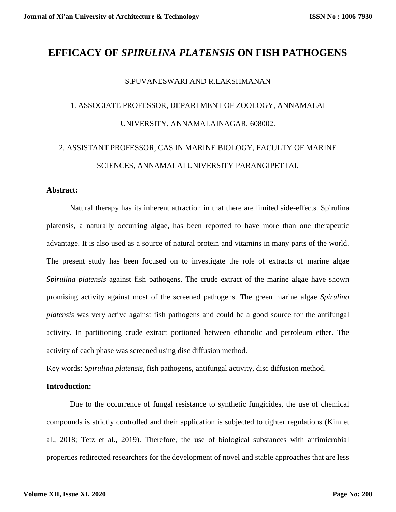## **EFFICACY OF** *SPIRULINA PLATENSIS* **ON FISH PATHOGENS**

#### S.PUVANESWARI AND R.LAKSHMANAN

# 1. ASSOCIATE PROFESSOR, DEPARTMENT OF ZOOLOGY, ANNAMALAI UNIVERSITY, ANNAMALAINAGAR, 608002.

# 2. ASSISTANT PROFESSOR, CAS IN MARINE BIOLOGY, FACULTY OF MARINE SCIENCES, ANNAMALAI UNIVERSITY PARANGIPETTAI.

#### **Abstract:**

Natural therapy has its inherent attraction in that there are limited side-effects. Spirulina platensis, a naturally occurring algae, has been reported to have more than one therapeutic advantage. It is also used as a source of natural protein and vitamins in many parts of the world. The present study has been focused on to investigate the role of extracts of marine algae *Spirulina platensis* against fish pathogens. The crude extract of the marine algae have shown promising activity against most of the screened pathogens. The green marine algae *Spirulina platensis* was very active against fish pathogens and could be a good source for the antifungal activity. In partitioning crude extract portioned between ethanolic and petroleum ether. The activity of each phase was screened using disc diffusion method.

Key words: *Spirulina platensis,* fish pathogens, antifungal activity, disc diffusion method.

#### **Introduction:**

Due to the occurrence of fungal resistance to synthetic fungicides, the use of chemical compounds is strictly controlled and their application is subjected to tighter regulations (Kim et al., 2018; Tetz et al., 2019). Therefore, the use of biological substances with antimicrobial properties redirected researchers for the development of novel and stable approaches that are less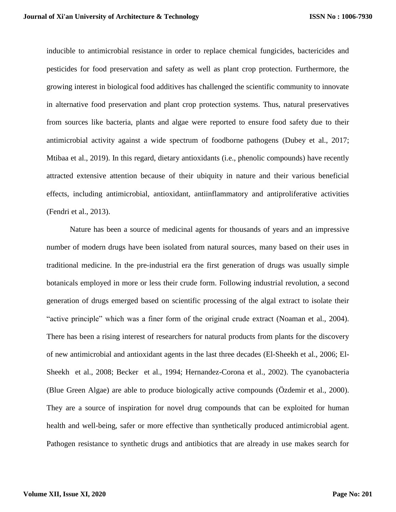inducible to antimicrobial resistance in order to replace chemical fungicides, bactericides and pesticides for food preservation and safety as well as plant crop protection. Furthermore, the growing interest in biological food additives has challenged the scientific community to innovate in alternative food preservation and plant crop protection systems. Thus, natural preservatives from sources like bacteria, plants and algae were reported to ensure food safety due to their antimicrobial activity against a wide spectrum of foodborne pathogens (Dubey et al., 2017; Mtibaa et al., 2019). In this regard, dietary antioxidants (i.e., phenolic compounds) have recently attracted extensive attention because of their ubiquity in nature and their various beneficial effects, including antimicrobial, antioxidant, antiinflammatory and antiproliferative activities (Fendri et al., 2013).

Nature has been a source of medicinal agents for thousands of years and an impressive number of modern drugs have been isolated from natural sources, many based on their uses in traditional medicine. In the pre-industrial era the first generation of drugs was usually simple botanicals employed in more or less their crude form. Following industrial revolution, a second generation of drugs emerged based on scientific processing of the algal extract to isolate their "active principle" which was a finer form of the original crude extract (Noaman et al., 2004). There has been a rising interest of researchers for natural products from plants for the discovery of new antimicrobial and antioxidant agents in the last three decades (El-Sheekh et al., 2006; El-Sheekh et al., 2008; Becker et al., 1994; Hernandez-Corona et al., 2002). The cyanobacteria (Blue Green Algae) are able to produce biologically active compounds (Özdemir et al., 2000). They are a source of inspiration for novel drug compounds that can be exploited for human health and well-being, safer or more effective than synthetically produced antimicrobial agent. Pathogen resistance to synthetic drugs and antibiotics that are already in use makes search for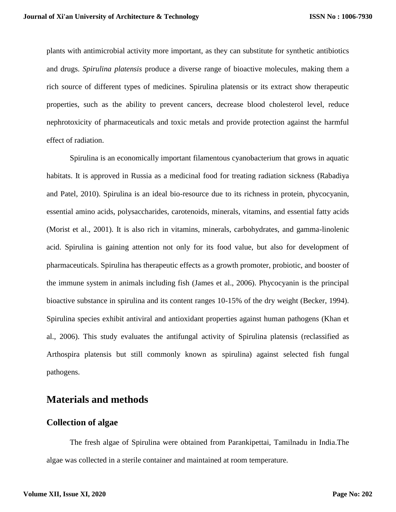plants with antimicrobial activity more important, as they can substitute for synthetic antibiotics and drugs. *Spirulina platensis* produce a diverse range of bioactive molecules, making them a rich source of different types of medicines. Spirulina platensis or its extract show therapeutic properties, such as the ability to prevent cancers, decrease blood cholesterol level, reduce nephrotoxicity of pharmaceuticals and toxic metals and provide protection against the harmful effect of radiation.

Spirulina is an economically important filamentous cyanobacterium that grows in aquatic habitats. It is approved in Russia as a medicinal food for treating radiation sickness (Rabadiya and Patel, 2010). Spirulina is an ideal bio-resource due to its richness in protein, phycocyanin, essential amino acids, polysaccharides, carotenoids, minerals, vitamins, and essential fatty acids (Morist et al., 2001). It is also rich in vitamins, minerals, carbohydrates, and gamma-linolenic acid. Spirulina is gaining attention not only for its food value, but also for development of pharmaceuticals. Spirulina has therapeutic effects as a growth promoter, probiotic, and booster of the immune system in animals including fish (James et al., 2006). Phycocyanin is the principal bioactive substance in spirulina and its content ranges 10-15% of the dry weight (Becker, 1994). Spirulina species exhibit antiviral and antioxidant properties against human pathogens (Khan et al., 2006). This study evaluates the antifungal activity of Spirulina platensis (reclassified as Arthospira platensis but still commonly known as spirulina) against selected fish fungal pathogens.

## **Materials and methods**

### **Collection of algae**

The fresh algae of Spirulina were obtained from Parankipettai, Tamilnadu in India.The algae was collected in a sterile container and maintained at room temperature.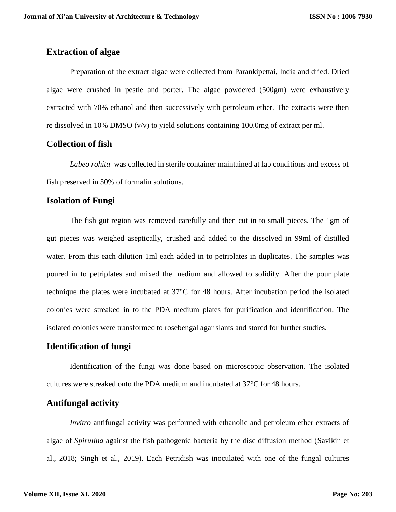## **Extraction of algae**

Preparation of the extract algae were collected from Parankipettai, India and dried. Dried algae were crushed in pestle and porter. The algae powdered (500gm) were exhaustively extracted with 70% ethanol and then successively with petroleum ether. The extracts were then re dissolved in 10% DMSO ( $v/v$ ) to yield solutions containing 100.0mg of extract per ml.

## **Collection of fish**

*Labeo rohita* was collected in sterile container maintained at lab conditions and excess of fish preserved in 50% of formalin solutions.

## **Isolation of Fungi**

The fish gut region was removed carefully and then cut in to small pieces. The 1gm of gut pieces was weighed aseptically, crushed and added to the dissolved in 99ml of distilled water. From this each dilution 1ml each added in to petriplates in duplicates. The samples was poured in to petriplates and mixed the medium and allowed to solidify. After the pour plate technique the plates were incubated at 37°C for 48 hours. After incubation period the isolated colonies were streaked in to the PDA medium plates for purification and identification. The isolated colonies were transformed to rosebengal agar slants and stored for further studies.

## **Identification of fungi**

Identification of the fungi was done based on microscopic observation. The isolated cultures were streaked onto the PDA medium and incubated at 37°C for 48 hours.

## **Antifungal activity**

*Invitro* antifungal activity was performed with ethanolic and petroleum ether extracts of algae of *Spirulina* against the fish pathogenic bacteria by the disc diffusion method (Savikin et al., 2018; Singh et al., 2019). Each Petridish was inoculated with one of the fungal cultures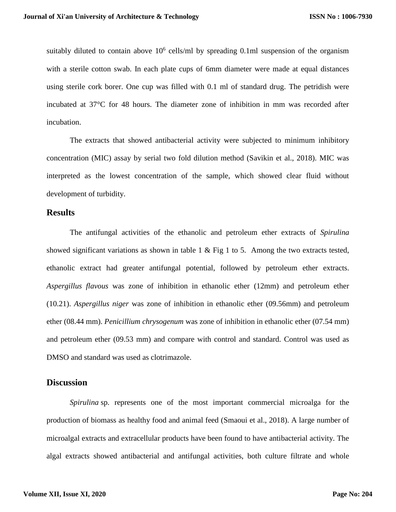suitably diluted to contain above  $10^6$  cells/ml by spreading 0.1ml suspension of the organism with a sterile cotton swab. In each plate cups of 6mm diameter were made at equal distances using sterile cork borer. One cup was filled with 0.1 ml of standard drug. The petridish were incubated at 37°C for 48 hours. The diameter zone of inhibition in mm was recorded after incubation.

The extracts that showed antibacterial activity were subjected to minimum inhibitory concentration (MIC) assay by serial two fold dilution method (Savikin et al., 2018). MIC was interpreted as the lowest concentration of the sample, which showed clear fluid without development of turbidity.

#### **Results**

The antifungal activities of the ethanolic and petroleum ether extracts of *Spirulina* showed significant variations as shown in table 1 & Fig 1 to 5. Among the two extracts tested, ethanolic extract had greater antifungal potential, followed by petroleum ether extracts. *Aspergillus flavous* was zone of inhibition in ethanolic ether (12mm) and petroleum ether (10.21). *Aspergillus niger* was zone of inhibition in ethanolic ether (09.56mm) and petroleum ether (08.44 mm). *Penicillium chrysogenum* was zone of inhibition in ethanolic ether (07.54 mm) and petroleum ether (09.53 mm) and compare with control and standard. Control was used as DMSO and standard was used as clotrimazole.

#### **Discussion**

*Spirulina* sp. represents one of the most important commercial microalga for the production of biomass as healthy food and animal feed (Smaoui et al., 2018). A large number of microalgal extracts and extracellular products have been found to have antibacterial activity. The algal extracts showed antibacterial and antifungal activities, both culture filtrate and whole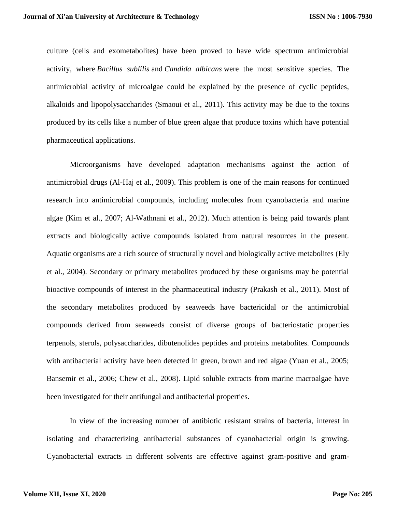culture (cells and exometabolites) have been proved to have wide spectrum antimicrobial activity, where *Bacillus sublilis* and *Candida albicans* were the most sensitive species. The antimicrobial activity of microalgae could be explained by the presence of cyclic peptides, alkaloids and lipopolysaccharides (Smaoui et al., 2011). This activity may be due to the toxins produced by its cells like a number of blue green algae that produce toxins which have potential pharmaceutical applications.

Microorganisms have developed adaptation mechanisms against the action of antimicrobial drugs (Al-Haj et al., 2009). This problem is one of the main reasons for continued research into antimicrobial compounds, including molecules from cyanobacteria and marine algae (Kim et al., 2007; Al-Wathnani et al., 2012). Much attention is being paid towards plant extracts and biologically active compounds isolated from natural resources in the present. Aquatic organisms are a rich source of structurally novel and biologically active metabolites (Ely et al., 2004). Secondary or primary metabolites produced by these organisms may be potential bioactive compounds of interest in the pharmaceutical industry (Prakash et al., 2011). Most of the secondary metabolites produced by seaweeds have bactericidal or the antimicrobial compounds derived from seaweeds consist of diverse groups of bacteriostatic properties terpenols, sterols, polysaccharides, dibutenolides peptides and proteins metabolites. Compounds with antibacterial activity have been detected in green, brown and red algae (Yuan et al., 2005; Bansemir et al., 2006; Chew et al., 2008). Lipid soluble extracts from marine macroalgae have been investigated for their antifungal and antibacterial properties.

In view of the increasing number of antibiotic resistant strains of bacteria, interest in isolating and characterizing antibacterial substances of cyanobacterial origin is growing. Cyanobacterial extracts in different solvents are effective against gram-positive and gram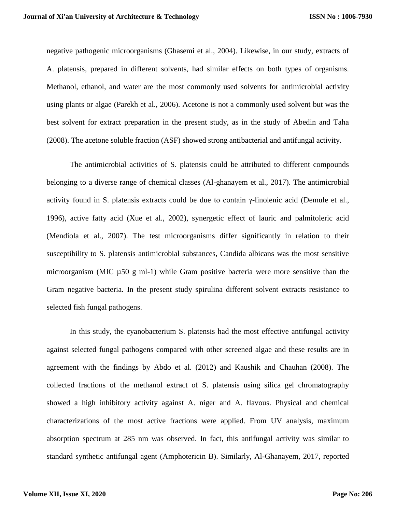negative pathogenic microorganisms (Ghasemi et al., 2004). Likewise, in our study, extracts of A. platensis, prepared in different solvents, had similar effects on both types of organisms. Methanol, ethanol, and water are the most commonly used solvents for antimicrobial activity using plants or algae (Parekh et al., 2006). Acetone is not a commonly used solvent but was the best solvent for extract preparation in the present study, as in the study of Abedin and Taha (2008). The acetone soluble fraction (ASF) showed strong antibacterial and antifungal activity.

The antimicrobial activities of S. platensis could be attributed to different compounds belonging to a diverse range of chemical classes (Al-ghanayem et al., 2017). The antimicrobial activity found in S. platensis extracts could be due to contain γ-linolenic acid (Demule et al., 1996), active fatty acid (Xue et al., 2002), synergetic effect of lauric and palmitoleric acid (Mendiola et al., 2007). The test microorganisms differ significantly in relation to their susceptibility to S. platensis antimicrobial substances, Candida albicans was the most sensitive microorganism (MIC  $\mu$ 50 g ml-1) while Gram positive bacteria were more sensitive than the Gram negative bacteria. In the present study spirulina different solvent extracts resistance to selected fish fungal pathogens.

In this study, the cyanobacterium S. platensis had the most effective antifungal activity against selected fungal pathogens compared with other screened algae and these results are in agreement with the findings by Abdo et al. (2012) and Kaushik and Chauhan (2008). The collected fractions of the methanol extract of S. platensis using silica gel chromatography showed a high inhibitory activity against A. niger and A. flavous. Physical and chemical characterizations of the most active fractions were applied. From UV analysis, maximum absorption spectrum at 285 nm was observed. In fact, this antifungal activity was similar to standard synthetic antifungal agent (Amphotericin B). Similarly, Al-Ghanayem, 2017, reported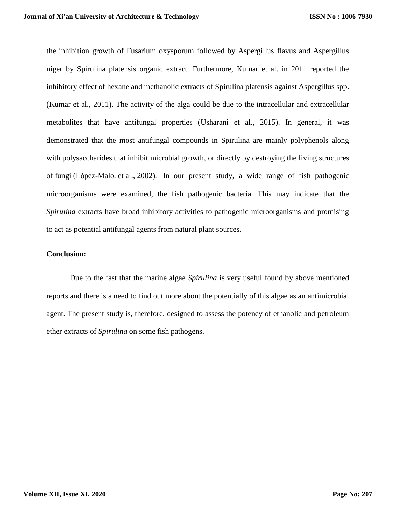the inhibition growth of Fusarium oxysporum followed by Aspergillus flavus and Aspergillus niger by Spirulina platensis organic extract. Furthermore, Kumar et al. in 2011 reported the inhibitory effect of hexane and methanolic extracts of Spirulina platensis against Aspergillus spp. (Kumar et al., 2011). The activity of the alga could be due to the intracellular and extracellular metabolites that have antifungal properties (Usharani et al., 2015). In general, it was demonstrated that the most antifungal compounds in Spirulina are mainly polyphenols along with polysaccharides that inhibit microbial growth, or directly by destroying the living structures of fungi (López-Malo. et al., 2002). In our present study, a wide range of fish pathogenic microorganisms were examined, the fish pathogenic bacteria. This may indicate that the *Spirulina* extracts have broad inhibitory activities to pathogenic microorganisms and promising to act as potential antifungal agents from natural plant sources.

#### **Conclusion:**

Due to the fast that the marine algae *Spirulina* is very useful found by above mentioned reports and there is a need to find out more about the potentially of this algae as an antimicrobial agent. The present study is, therefore, designed to assess the potency of ethanolic and petroleum ether extracts of *Spirulina* on some fish pathogens.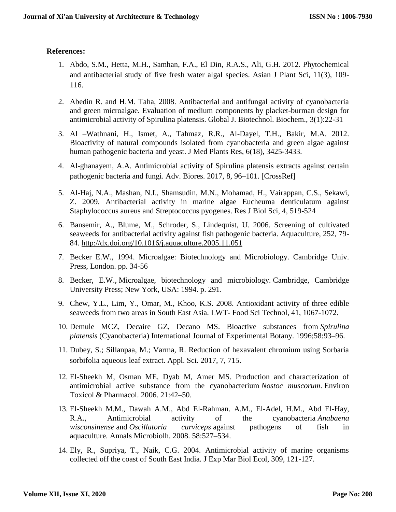### **References:**

- 1. Abdo, S.M., Hetta, M.H., Samhan, F.A., El Din, R.A.S., Ali, G.H. 2012. Phytochemical and antibacterial study of five fresh water algal species. Asian J Plant Sci, 11(3), 109- 116.
- 2. Abedin R. and H.M. Taha, 2008. Antibacterial and antifungal activity of cyanobacteria and green microalgae. Evaluation of medium components by placket-burman design for antimicrobial activity of Spirulina platensis. Global J. Biotechnol. Biochem., 3(1):22-31
- 3. Al –Wathnani, H., Ismet, A., Tahmaz, R.R., Al-Dayel, T.H., Bakir, M.A. 2012. Bioactivity of natural compounds isolated from cyanobacteria and green algae against human pathogenic bacteria and yeast. J Med Plants Res, 6(18), 3425-3433.
- 4. Al-ghanayem, A.A. Antimicrobial activity of Spirulina platensis extracts against certain pathogenic bacteria and fungi. Adv. Biores. 2017, 8, 96–101. [CrossRef]
- 5. Al-Haj, N.A., Mashan, N.I., Shamsudin, M.N., Mohamad, H., Vairappan, C.S., Sekawi, Z. 2009. Antibacterial activity in marine algae Eucheuma denticulatum against Staphylococcus aureus and Streptococcus pyogenes. Res J Biol Sci, 4, 519-524
- 6. Bansemir, A., Blume, M., Schroder, S., Lindequist, U. 2006. Screening of cultivated seaweeds for antibacterial activity against fish pathogenic bacteria. Aquaculture, 252, 79- 84.<http://dx.doi.org/10.1016/j.aquaculture.2005.11.051>
- 7. Becker E.W., 1994. Microalgae: Biotechnology and Microbiology. Cambridge Univ. Press, London. pp. 34-56
- 8. Becker, E.W., Microalgae, biotechnology and microbiology. Cambridge, Cambridge University Press; New York, USA: 1994. p. 291.
- 9. Chew, Y.L., Lim, Y., Omar, M., Khoo, K.S. 2008. Antioxidant activity of three edible seaweeds from two areas in South East Asia. LWT- Food Sci Technol, 41, 1067-1072.
- 10. Demule MCZ, Decaire GZ, Decano MS. Bioactive substances from *Spirulina platensis* (Cyanobacteria) International Journal of Experimental Botany. 1996;58:93–96.
- 11. Dubey, S.; Sillanpaa, M.; Varma, R. Reduction of hexavalent chromium using Sorbaria sorbifolia aqueous leaf extract. Appl. Sci. 2017, 7, 715.
- 12. El-Sheekh M, Osman ME, Dyab M, Amer MS. Production and characterization of antimicrobial active substance from the cyanobacterium *Nostoc muscorum*. Environ Toxicol & Pharmacol. 2006. 21:42–50.
- 13. El-Sheekh M.M., Dawah A.M., Abd El-Rahman. A.M., El-Adel, H.M., Abd El-Hay, R.A., Antimicrobial activity of the cyanobacteria *Anabaena wisconsinense* and *Oscillatoria curviceps* against pathogens of fish in aquaculture. Annals Microbiolh. 2008. 58:527–534.
- 14. Ely, R., Supriya, T., Naik, C.G. 2004. Antimicrobial activity of marine organisms collected off the coast of South East India. J Exp Mar Biol Ecol, 309, 121-127.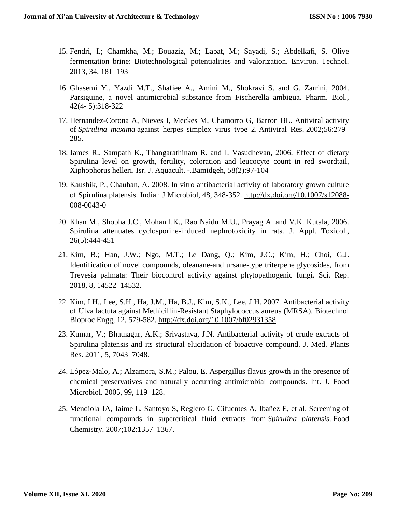- 15. Fendri, I.; Chamkha, M.; Bouaziz, M.; Labat, M.; Sayadi, S.; Abdelkafi, S. Olive fermentation brine: Biotechnological potentialities and valorization. Environ. Technol. 2013, 34, 181–193
- 16. Ghasemi Y., Yazdi M.T., Shafiee A., Amini M., Shokravi S. and G. Zarrini, 2004. Parsiguine, a novel antimicrobial substance from Fischerella ambigua. Pharm. Biol., 42(4- 5):318-322
- 17. Hernandez-Corona A, Nieves I, Meckes M, Chamorro G, Barron BL. Antiviral activity of *Spirulina maxima* against herpes simplex virus type 2. Antiviral Res. 2002;56:279– 285.
- 18. James R., Sampath K., Thangarathinam R. and I. Vasudhevan, 2006. Effect of dietary Spirulina level on growth, fertility, coloration and leucocyte count in red swordtail, Xiphophorus helleri. Isr. J. Aquacult. -.Bamidgeh, 58(2):97-104
- 19. Kaushik, P., Chauhan, A. 2008. In vitro antibacterial activity of laboratory grown culture of Spirulina platensis. Indian J Microbiol, 48, 348-352. [http://dx.doi.org/10.1007/s12088-](http://dx.doi.org/10.1007/s12088-008-0043-0) [008-0043-0](http://dx.doi.org/10.1007/s12088-008-0043-0)
- 20. Khan M., Shobha J.C., Mohan I.K., Rao Naidu M.U., Prayag A. and V.K. Kutala, 2006. Spirulina attenuates cyclosporine‐induced nephrotoxicity in rats. J. Appl. Toxicol., 26(5):444-451
- 21. Kim, B.; Han, J.W.; Ngo, M.T.; Le Dang, Q.; Kim, J.C.; Kim, H.; Choi, G.J. Identification of novel compounds, oleanane-and ursane-type triterpene glycosides, from Trevesia palmata: Their biocontrol activity against phytopathogenic fungi. Sci. Rep. 2018, 8, 14522–14532.
- 22. Kim, I.H., Lee, S.H., Ha, J.M., Ha, B.J., Kim, S.K., Lee, J.H. 2007. Antibacterial activity of Ulva lactuta against Methicillin-Resistant Staphylococcus aureus (MRSA). Biotechnol Bioproc Engg, 12, 579-582.<http://dx.doi.org/10.1007/bf02931358>
- 23. Kumar, V.; Bhatnagar, A.K.; Srivastava, J.N. Antibacterial activity of crude extracts of Spirulina platensis and its structural elucidation of bioactive compound. J. Med. Plants Res. 2011, 5, 7043–7048.
- 24. López-Malo, A.; Alzamora, S.M.; Palou, E. Aspergillus flavus growth in the presence of chemical preservatives and naturally occurring antimicrobial compounds. Int. J. Food Microbiol. 2005, 99, 119–128.
- 25. Mendiola JA, Jaime L, Santoyo S, Reglero G, Cifuentes A, Ibañez E, et al. Screening of functional compounds in supercritical fluid extracts from *Spirulina platensis*. Food Chemistry. 2007;102:1357–1367.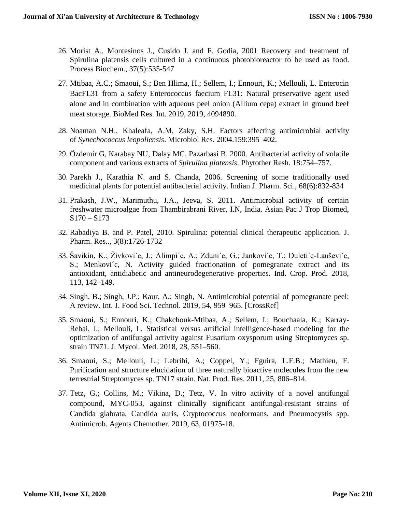- 26. Morist A., Montesinos J., Cusido J. and F. Godia, 2001 Recovery and treatment of Spirulina platensis cells cultured in a continuous photobioreactor to be used as food. Process Biochem., 37(5):535-547
- 27. Mtibaa, A.C.; Smaoui, S.; Ben Hlima, H.; Sellem, I.; Ennouri, K.; Mellouli, L. Enterocin BacFL31 from a safety Enterococcus faecium FL31: Natural preservative agent used alone and in combination with aqueous peel onion (Allium cepa) extract in ground beef meat storage. BioMed Res. Int. 2019, 2019, 4094890.
- 28. Noaman N.H., Khaleafa, A.M, Zaky, S.H. Factors affecting antimicrobial activity of *Synechococcus leopoliensis*. Microbiol Res. 2004.159:395–402.
- 29. Özdemir G, Karabay NU, Dalay MC, Pazarbasi B. 2000. Antibacterial activity of volatile component and various extracts of *Spirulina platensis*. Phytother Resh. 18:754–757.
- 30. Parekh J., Karathia N. and S. Chanda, 2006. Screening of some traditionally used medicinal plants for potential antibacterial activity. Indian J. Pharm. Sci., 68(6):832-834
- 31. Prakash, J.W., Marimuthu, J.A., Jeeva, S. 2011. Antimicrobial activity of certain freshwater microalgae from Thambirabrani River, I.N, India. Asian Pac J Trop Biomed,  $S170 - S173$
- 32. Rabadiya B. and P. Patel, 2010. Spirulina: potential clinical therapeutic application. J. Pharm. Res.., 3(8):1726-1732
- 33. Šavikin, K.; Živkovi´c, J.; Alimpi´c, A.; Zduni´c, G.; Jankovi´c, T.; Duleti´c-Lauševi´c, S.; Menković, N. Activity guided fractionation of pomegranate extract and its antioxidant, antidiabetic and antineurodegenerative properties. Ind. Crop. Prod. 2018, 113, 142–149.
- 34. Singh, B.; Singh, J.P.; Kaur, A.; Singh, N. Antimicrobial potential of pomegranate peel: A review. Int. J. Food Sci. Technol. 2019, 54, 959–965. [CrossRef]
- 35. Smaoui, S.; Ennouri, K.; Chakchouk-Mtibaa, A.; Sellem, I.; Bouchaala, K.; Karray-Rebai, I.; Mellouli, L. Statistical versus artificial intelligence-based modeling for the optimization of antifungal activity against Fusarium oxysporum using Streptomyces sp. strain TN71. J. Mycol. Med. 2018, 28, 551–560.
- 36. Smaoui, S.; Mellouli, L.; Lebrihi, A.; Coppel, Y.; Fguira, L.F.B.; Mathieu, F. Purification and structure elucidation of three naturally bioactive molecules from the new terrestrial Streptomyces sp. TN17 strain. Nat. Prod. Res. 2011, 25, 806–814.
- 37. Tetz, G.; Collins, M.; Vikina, D.; Tetz, V. In vitro activity of a novel antifungal compound, MYC-053, against clinically significant antifungal-resistant strains of Candida glabrata, Candida auris, Cryptococcus neoformans, and Pneumocystis spp. Antimicrob. Agents Chemother. 2019, 63, 01975-18.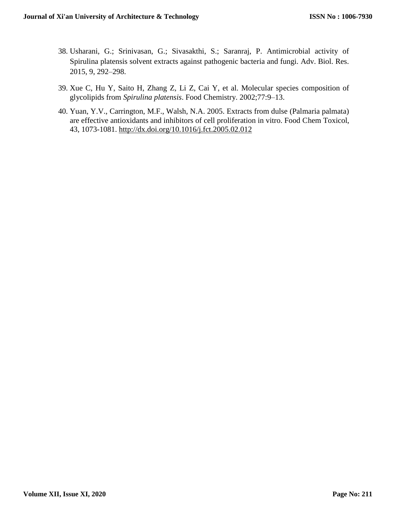- 38. Usharani, G.; Srinivasan, G.; Sivasakthi, S.; Saranraj, P. Antimicrobial activity of Spirulina platensis solvent extracts against pathogenic bacteria and fungi. Adv. Biol. Res. 2015, 9, 292–298.
- 39. Xue C, Hu Y, Saito H, Zhang Z, Li Z, Cai Y, et al. Molecular species composition of glycolipids from *Spirulina platensis*. Food Chemistry. 2002;77:9–13.
- 40. Yuan, Y.V., Carrington, M.F., Walsh, N.A. 2005. Extracts from dulse (Palmaria palmata) are effective antioxidants and inhibitors of cell proliferation in vitro. Food Chem Toxicol, 43, 1073-1081.<http://dx.doi.org/10.1016/j.fct.2005.02.012>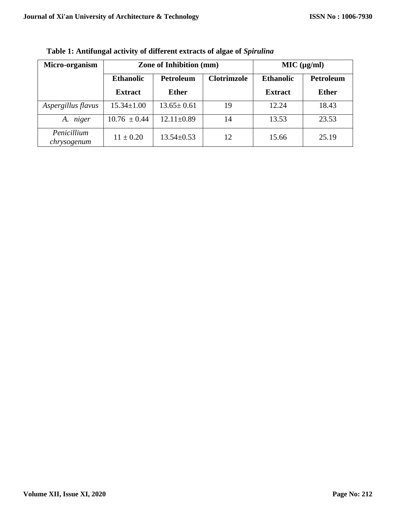| Micro-organism             | <b>Zone of Inhibition (mm)</b> |                  |                    | MIC (µg/ml)      |              |
|----------------------------|--------------------------------|------------------|--------------------|------------------|--------------|
|                            | <b>Ethanolic</b>               | <b>Petroleum</b> | <b>Clotrimzole</b> | <b>Ethanolic</b> | Petroleum    |
|                            | <b>Extract</b>                 | <b>Ether</b>     |                    | <b>Extract</b>   | <b>Ether</b> |
| Aspergillus flavus         | $15.34 \pm 1.00$               | $13.65 \pm 0.61$ | 19                 | 12.24            | 18.43        |
| niger<br>A.                | $10.76 \pm 0.44$               | $12.11 \pm 0.89$ | 14                 | 13.53            | 23.53        |
| Penicillium<br>chrysogenum | $11 \pm 0.20$                  | $13.54 \pm 0.53$ | 12                 | 15.66            | 25.19        |

**Table 1: Antifungal activity of different extracts of algae of** *Spirulina*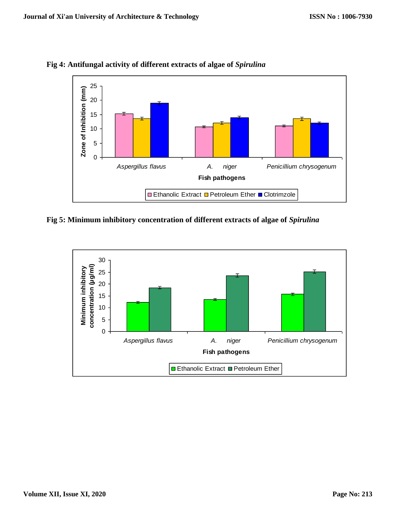

**Fig 4: Antifungal activity of different extracts of algae of** *Spirulina*

**Fig 5: Minimum inhibitory concentration of different extracts of algae of** *Spirulina*

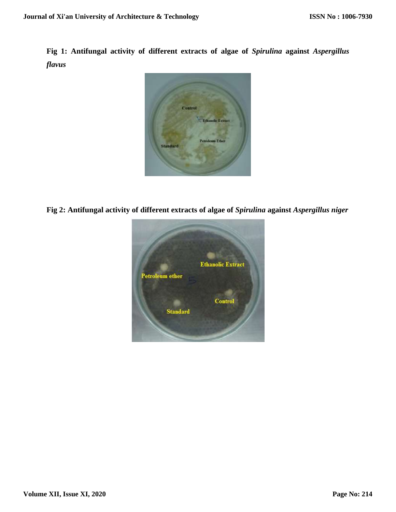**Fig 1: Antifungal activity of different extracts of algae of** *Spirulina* **against** *Aspergillus flavus*



**Fig 2: Antifungal activity of different extracts of algae of** *Spirulina* **against** *Aspergillus niger*